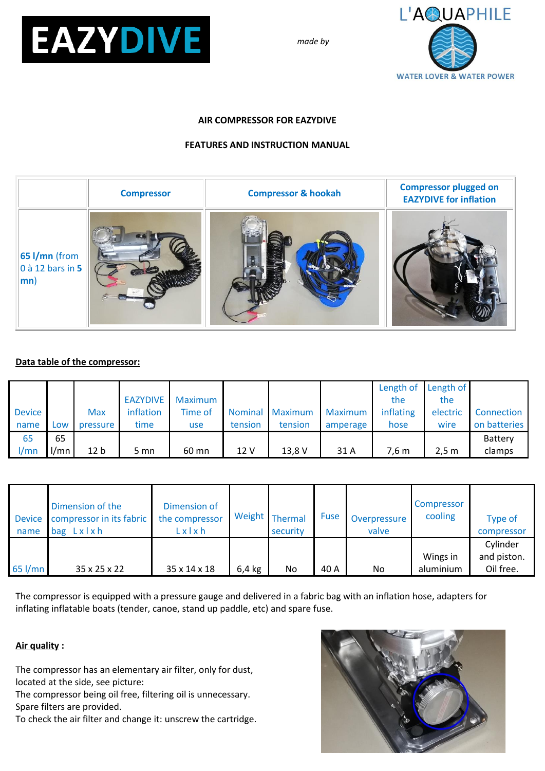

*made by*



#### **AIR COMPRESSOR FOR EAZYDIVE**

### **FEATURES AND INSTRUCTION MANUAL**

|                                                                | <b>Compressor</b> | <b>Compressor &amp; hookah</b> | <b>Compressor plugged on</b><br><b>EAZYDIVE for inflation</b> |
|----------------------------------------------------------------|-------------------|--------------------------------|---------------------------------------------------------------|
| $65$ I/mn (from<br>$\vert$ 0 à 12 bars in 5<br>$ \mathsf{mn} $ |                   |                                |                                                               |

### **Data table of the compressor:**

|               |      |                 |           |         |                |         |                | Length of Length of |          |              |
|---------------|------|-----------------|-----------|---------|----------------|---------|----------------|---------------------|----------|--------------|
|               |      |                 | EAZYDIVE  | Maximum |                |         |                | the                 | the      |              |
| <b>Device</b> |      | <b>Max</b>      | inflation | Time of | <b>Nominal</b> | Maximum | <b>Maximum</b> | inflating           | electric | Connection   |
| name          | LOW  | pressure        | time      | use     | tension        | tension | amperage       | hose                | wire     | on batteries |
| 65            | 65   |                 |           |         |                |         |                |                     |          | Battery      |
| 1/mn          | l/mn | 12 <sub>b</sub> | 5 mn      | 60 mn   | 12 V           | 13,8 V  | 31 A           | 7.6 m               | 2,5 m    | clamps       |

| <b>Device</b><br>name | Dimension of the<br>compressor in its fabric<br>Lxlxh<br>bag | Dimension of<br>the compressor<br>Lxlxh |          | Weight Thermal<br>security | <b>Fuse</b> | Overpressure<br>valve | Compressor<br>cooling | Type of<br>compressor                |
|-----------------------|--------------------------------------------------------------|-----------------------------------------|----------|----------------------------|-------------|-----------------------|-----------------------|--------------------------------------|
| $65$ I/mn             | 35 x 25 x 22                                                 | 35 x 14 x 18                            | $6,4$ kg | No                         | 40 A        | No                    | Wings in<br>aluminium | Cylinder<br>and piston.<br>Oil free. |

The compressor is equipped with a pressure gauge and delivered in a fabric bag with an inflation hose, adapters for inflating inflatable boats (tender, canoe, stand up paddle, etc) and spare fuse.

### **Air quality :**

The compressor has an elementary air filter, only for dust, located at the side, see picture:

The compressor being oil free, filtering oil is unnecessary. Spare filters are provided.

To check the air filter and change it: unscrew the cartridge.